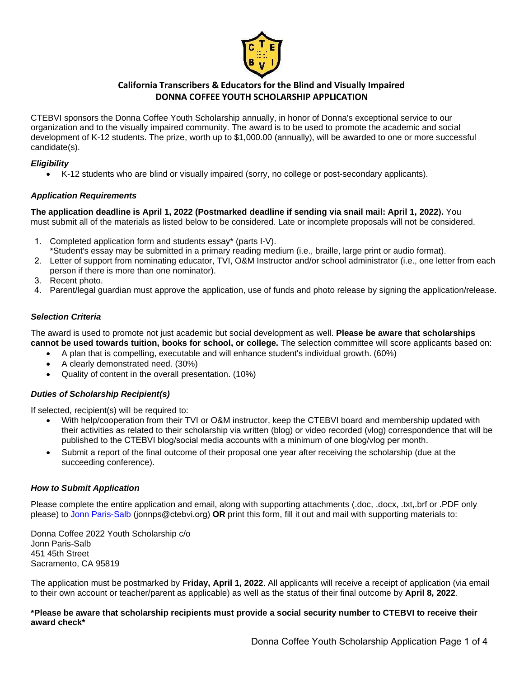

### **California Transcribers & Educators for the Blind and Visually Impaired DONNA COFFEE YOUTH SCHOLARSHIP APPLICATION**

 organization and to the visually impaired community. The award is to be used to promote the academic and social CTEBVI sponsors the Donna Coffee Youth Scholarship annually, in honor of Donna's exceptional service to our development of K-12 students. The prize, worth up to \$1,000.00 (annually), will be awarded to one or more successful candidate(s).

### *Eligibility*

• K-12 students who are blind or visually impaired (sorry, no college or post-secondary applicants).

### *Application Requirements*

**The application deadline is April 1, 2022 (Postmarked deadline if sending via snail mail: April 1, 2022).** You must submit all of the materials as listed below to be considered. Late or incomplete proposals will not be considered.

- 1. Completed application form and students essay\* (parts I-V).
- \*Student's essay may be submitted in a primary reading medium (i.e., braille, large print or audio format).
- 2. Letter of support from nominating educator, TVI, O&M Instructor and/or school administrator (i.e., one letter from each person if there is more than one nominator).
- 3. Recent photo.
- 4. Parent/legal guardian must approve the application, use of funds and photo release by signing the application/release.

### *Selection Criteria*

 The award is used to promote not just academic but social development as well. **Please be aware that scholarships cannot be used towards tuition, books for school, or college.** The selection committee will score applicants based on:

- A plan that is compelling, executable and will enhance student's individual growth. (60%)
- A clearly demonstrated need. (30%)
- Quality of content in the overall presentation. (10%)

### *Duties of Scholarship Recipient(s)*

If selected, recipient(s) will be required to:

- their activities as related to their scholarship via written (blog) or video recorded (vlog) correspondence that will be • With help/cooperation from their TVI or O&M instructor, keep the CTEBVI board and membership updated with published to the CTEBVI blog/social media accounts with a minimum of one blog/vlog per month.
- Submit a report of the final outcome of their proposal one year after receiving the scholarship (due at the succeeding conference).

### *How to Submit Application*

 Please complete the entire application and email, along with supporting attachments (.doc, .docx, .txt,.brf or .PDF only please) to Jonn Paris-Salb (jonnps@ctebvi.org) **OR** print this form, fill it out and mail with supporting materials to:

Donna Coffee 2022 Youth Scholarship c/o Jonn Paris-Salb 451 45th Street Sacramento, CA 95819

The application must be postmarked by **Friday, April 1, 2022**. All applicants will receive a receipt of application (via email to their own account or teacher/parent as applicable) as well as the status of their final outcome by **April 8, 2022**.

### **\*Please be aware that scholarship recipients must provide a social security number to CTEBVI to receive their award check\***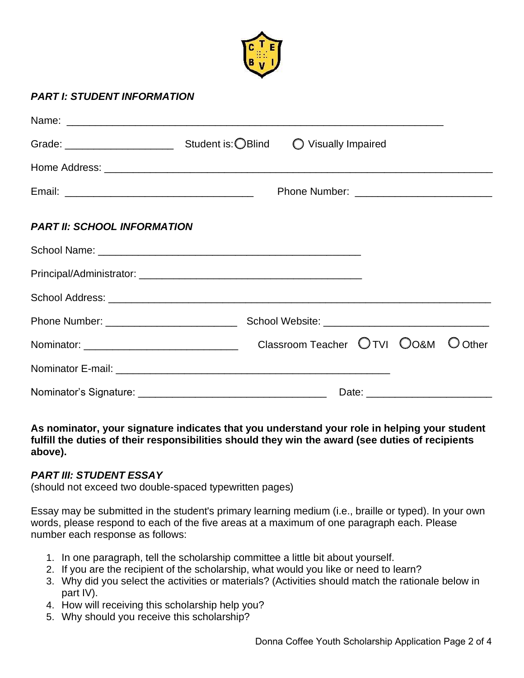

# *PART I: STUDENT INFORMATION*

|                                    | Grade: Carrier Student is: OBlind O Visually Impaired |  |
|------------------------------------|-------------------------------------------------------|--|
|                                    |                                                       |  |
|                                    |                                                       |  |
| <b>PART II: SCHOOL INFORMATION</b> |                                                       |  |
|                                    |                                                       |  |
|                                    |                                                       |  |
|                                    |                                                       |  |
|                                    |                                                       |  |
|                                    | Classroom Teacher OTVI OO&M O Other                   |  |
|                                    |                                                       |  |
| Nominator's Signature:             |                                                       |  |

 **As nominator, your signature indicates that you understand your role in helping your student fulfill the duties of their responsibilities should they win the award (see duties of recipients above).** 

## *PART III: STUDENT ESSAY*

(should not exceed two double-spaced typewritten pages)

 Essay may be submitted in the student's primary learning medium (i.e., braille or typed). In your own words, please respond to each of the five areas at a maximum of one paragraph each. Please number each response as follows:

- 1. In one paragraph, tell the scholarship committee a little bit about yourself.
- 2. If you are the recipient of the scholarship, what would you like or need to learn?
- 3. Why did you select the activities or materials? (Activities should match the rationale below in part IV).
- 4. How will receiving this scholarship help you?
- 5. Why should you receive this scholarship?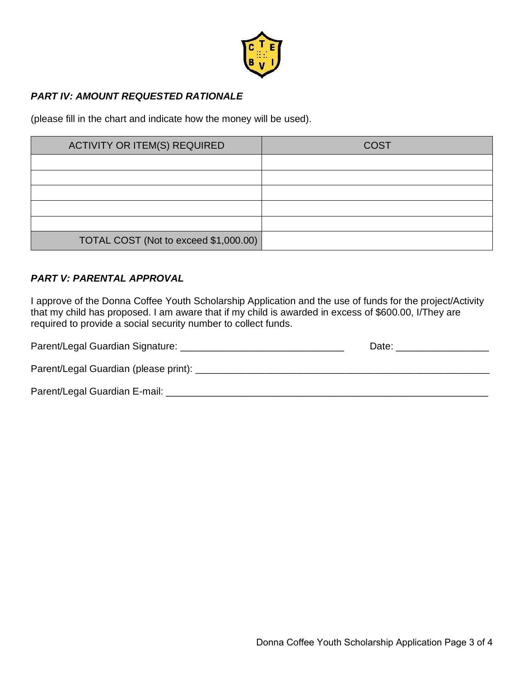

# *PART IV: AMOUNT REQUESTED RATIONALE*

(please fill in the chart and indicate how the money will be used).

| <b>ACTIVITY OR ITEM(S) REQUIRED</b>   | <b>COST</b> |
|---------------------------------------|-------------|
|                                       |             |
|                                       |             |
|                                       |             |
|                                       |             |
|                                       |             |
| TOTAL COST (Not to exceed \$1,000.00) |             |

# *PART V: PARENTAL APPROVAL*

 I approve of the Donna Coffee Youth Scholarship Application and the use of funds for the project/Activity that my child has proposed. I am aware that if my child is awarded in excess of \$600.00, I/They are required to provide a social security number to collect funds.

| Parent/Legal Guardian Signature:        | Date: |
|-----------------------------------------|-------|
| Parent/Legal Guardian (please print): _ |       |
| Parent/Legal Guardian E-mail:           |       |